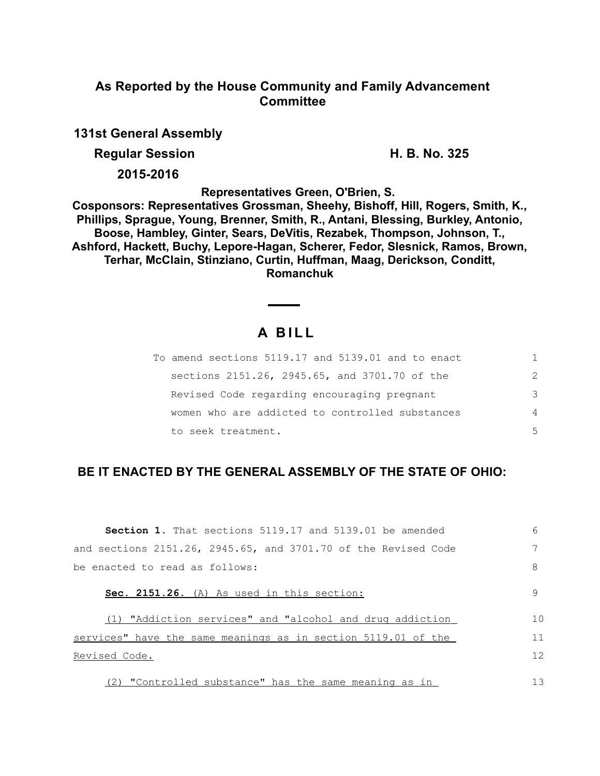# **As Reported by the House Community and Family Advancement Committee**

**131st General Assembly**

**Regular Session H. B. No. 325** 

**2015-2016**

**Representatives Green, O'Brien, S.** 

**Cosponsors: Representatives Grossman, Sheehy, Bishoff, Hill, Rogers, Smith, K., Phillips, Sprague, Young, Brenner, Smith, R., Antani, Blessing, Burkley, Antonio, Boose, Hambley, Ginter, Sears, DeVitis, Rezabek, Thompson, Johnson, T., Ashford, Hackett, Buchy, Lepore-Hagan, Scherer, Fedor, Slesnick, Ramos, Brown, Terhar, McClain, Stinziano, Curtin, Huffman, Maag, Derickson, Conditt, Romanchuk**

# **A B I L L**

| To amend sections 5119.17 and 5139.01 and to enact |                |
|----------------------------------------------------|----------------|
| sections 2151.26, 2945.65, and 3701.70 of the      | $\mathcal{P}$  |
| Revised Code regarding encouraging pregnant        | 3              |
| women who are addicted to controlled substances    | $\overline{4}$ |
| to seek treatment.                                 | 5              |

# **BE IT ENACTED BY THE GENERAL ASSEMBLY OF THE STATE OF OHIO:**

| <b>Section 1.</b> That sections 5119.17 and 5139.01 be amended | 6  |
|----------------------------------------------------------------|----|
| and sections 2151.26, 2945.65, and 3701.70 of the Revised Code |    |
| be enacted to read as follows:                                 | 8  |
| Sec. 2151.26. (A) As used in this section:                     | 9  |
| (1) "Addiction services" and "alcohol and drug addiction       | 10 |
| services" have the same meanings as in section 5119.01 of the  | 11 |
| Revised Code.                                                  | 12 |
| (2) "Controlled substance" has the same meaning as in          | 13 |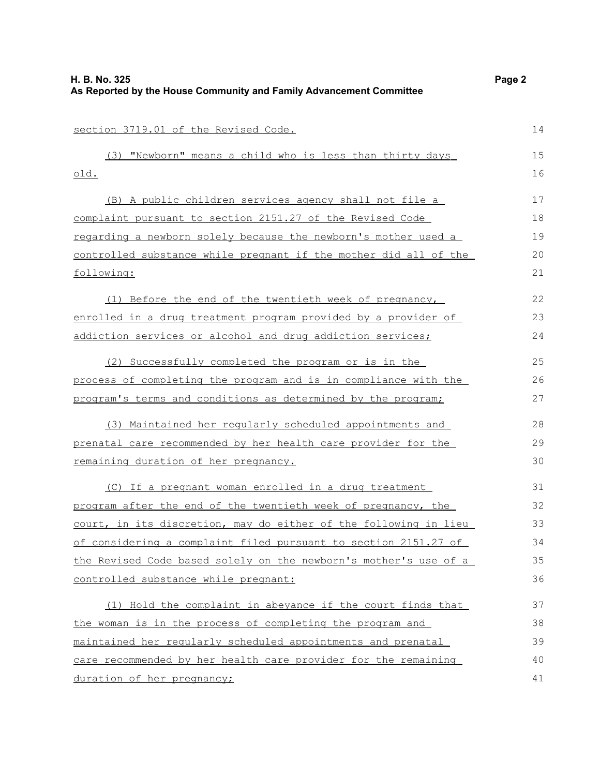| section 3719.01 of the Revised Code.                             | 14 |
|------------------------------------------------------------------|----|
| (3) "Newborn" means a child who is less than thirty days         | 15 |
| <u>old.</u>                                                      | 16 |
| (B) A public children services agency shall not file a           | 17 |
| complaint pursuant to section 2151.27 of the Revised Code        | 18 |
| regarding a newborn solely because the newborn's mother used a   | 19 |
| controlled substance while pregnant if the mother did all of the | 20 |
| following:                                                       | 21 |
| (1) Before the end of the twentieth week of pregnancy,           | 22 |
| enrolled in a drug treatment program provided by a provider of   | 23 |
| addiction services or alcohol and drug addiction services;       | 24 |
| (2) Successfully completed the program or is in the              | 25 |
| process of completing the program and is in compliance with the  | 26 |
| program's terms and conditions as determined by the program;     | 27 |
| (3) Maintained her regularly scheduled appointments and          | 28 |
| prenatal care recommended by her health care provider for the    | 29 |
| remaining duration of her pregnancy.                             | 30 |
| (C) If a pregnant woman enrolled in a drug treatment             | 31 |
| program after the end of the twentieth week of pregnancy, the    | 32 |
| court, in its discretion, may do either of the following in lieu | 33 |
| of considering a complaint filed pursuant to section 2151.27 of  | 34 |
| the Revised Code based solely on the newborn's mother's use of a | 35 |
| controlled substance while pregnant:                             | 36 |
| (1) Hold the complaint in abeyance if the court finds that       | 37 |
| the woman is in the process of completing the program and        | 38 |
| maintained her regularly scheduled appointments and prenatal     | 39 |
| care recommended by her health care provider for the remaining   | 40 |
| duration of her pregnancy;                                       | 41 |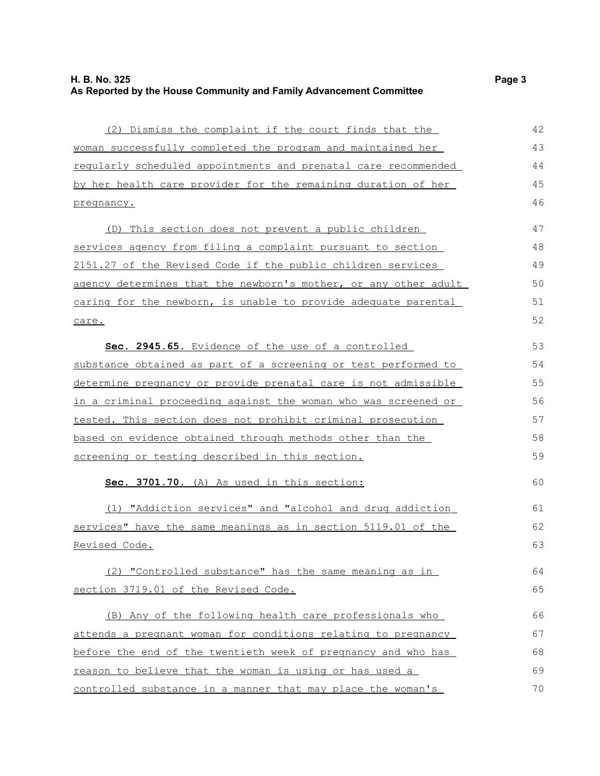(2) Dismiss the complaint if the court finds that the woman successfully completed the program and maintained her regularly scheduled appointments and prenatal care recommended by her health care provider for the remaining duration of her pregnancy. (D) This section does not prevent a public children services agency from filing a complaint pursuant to section 2151.27 of the Revised Code if the public children services agency determines that the newborn's mother, or any other adult caring for the newborn, is unable to provide adequate parental care. **Sec. 2945.65.** Evidence of the use of a controlled substance obtained as part of a screening or test performed to determine pregnancy or provide prenatal care is not admissible in a criminal proceeding against the woman who was screened or tested. This section does not prohibit criminal prosecution based on evidence obtained through methods other than the screening or testing described in this section. **Sec. 3701.70.** (A) As used in this section: (1) " Addiction services" and "alcohol and drug addiction services" have the same meanings as in section 5119.01 of the Revised Code. (2) "Controlled substance" has the same meaning as in section 3719.01 of the Revised Code. (B) Any of the following health care professionals who attends a pregnant woman for conditions relating to pregnancy before the end of the twentieth week of pregnancy and who has reason to believe that the woman is using or has used a controlled substance in a manner that may place the woman's 42 43 44 45 46 47 48 49 50 51 52 53 54 55 56 57 58 59 60 61 62 63 64 65 66 67 68 69 70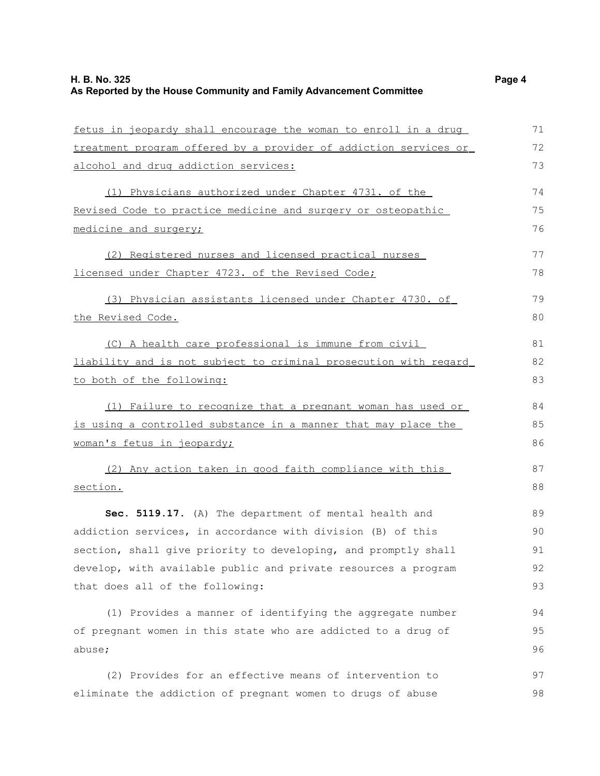fetus in jeopardy shall encourage the woman to enroll in a drug treatment program offered by a provider of addiction services or alcohol and drug addiction services: (1) Physicians authorized under Chapter 4731. of the Revised Code to practice medicine and surgery or osteopathic medicine and surgery; (2) Registered nurses and licensed practical nurses licensed under Chapter 4723. of the Revised Code; (3) Physician assistants licensed under Chapter 4730. of the Revised Code. (C) A health care professional is immune from civil liability and is not subject to criminal prosecution with regard to both of the following: (1) Failure to recognize that a pregnant woman has used or is using a controlled substance in a manner that may place the woman's fetus in jeopardy; (2) Any action taken in good faith compliance with this section. **Sec. 5119.17.** (A) The department of mental health and addiction services, in accordance with division (B) of this section, shall give priority to developing, and promptly shall develop, with available public and private resources a program that does all of the following: 71 72 73 74 75 76 77 78 79 80 81 82 83 84 85 86 87 88 89 90 91 92 93

(1) Provides a manner of identifying the aggregate number of pregnant women in this state who are addicted to a drug of abuse;

(2) Provides for an effective means of intervention to eliminate the addiction of pregnant women to drugs of abuse 97 98

94 95 96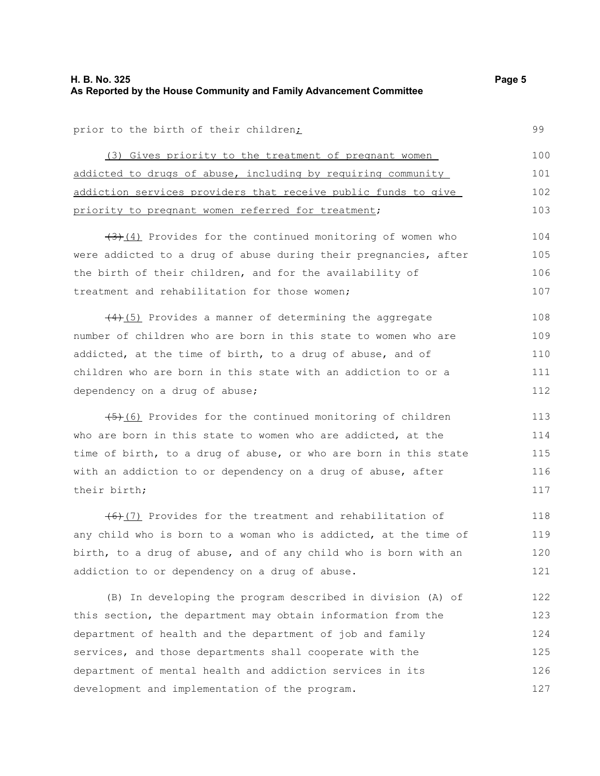prior to the birth of their children;

(3) Gives priority to the treatment of pregnant women addicted to drugs of abuse, including by requiring community addiction services providers that receive public funds to give priority to pregnant women referred for treatment; 100 101 102 103

 $(3)$  (4) Provides for the continued monitoring of women who were addicted to a drug of abuse during their pregnancies, after the birth of their children, and for the availability of treatment and rehabilitation for those women; 104 105 106 107

 $(4)$ (5) Provides a manner of determining the aggregate number of children who are born in this state to women who are addicted, at the time of birth, to a drug of abuse, and of children who are born in this state with an addiction to or a dependency on a drug of abuse; 108 109 110 111 112

 $(45)$ (6) Provides for the continued monitoring of children who are born in this state to women who are addicted, at the time of birth, to a drug of abuse, or who are born in this state with an addiction to or dependency on a drug of abuse, after their birth; 113 117

(6)(7) Provides for the treatment and rehabilitation of any child who is born to a woman who is addicted, at the time of birth, to a drug of abuse, and of any child who is born with an addiction to or dependency on a drug of abuse. 118 119 120 121

(B) In developing the program described in division (A) of this section, the department may obtain information from the department of health and the department of job and family services, and those departments shall cooperate with the department of mental health and addiction services in its development and implementation of the program. 122 123 124 125 126 127

99

114 115 116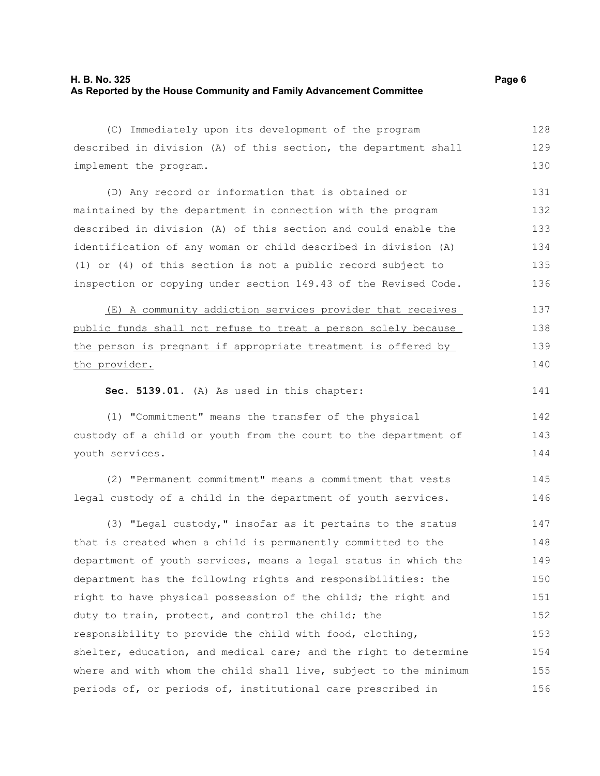| (C) Immediately upon its development of the program              | 128 |
|------------------------------------------------------------------|-----|
| described in division (A) of this section, the department shall  | 129 |
| implement the program.                                           | 130 |
| (D) Any record or information that is obtained or                | 131 |
| maintained by the department in connection with the program      | 132 |
| described in division (A) of this section and could enable the   | 133 |
| identification of any woman or child described in division (A)   | 134 |
| (1) or (4) of this section is not a public record subject to     | 135 |
| inspection or copying under section 149.43 of the Revised Code.  | 136 |
| (E) A community addiction services provider that receives        | 137 |
| public funds shall not refuse to treat a person solely because   | 138 |
| the person is pregnant if appropriate treatment is offered by    | 139 |
| the provider.                                                    | 140 |
| Sec. 5139.01. (A) As used in this chapter:                       | 141 |
| (1) "Commitment" means the transfer of the physical              | 142 |
| custody of a child or youth from the court to the department of  | 143 |
| youth services.                                                  | 144 |
| (2) "Permanent commitment" means a commitment that vests         | 145 |
| legal custody of a child in the department of youth services.    | 146 |
| (3) "Legal custody," insofar as it pertains to the status        | 147 |
| that is created when a child is permanently committed to the     | 148 |
| department of youth services, means a legal status in which the  | 149 |
| department has the following rights and responsibilities: the    | 150 |
| right to have physical possession of the child; the right and    | 151 |
| duty to train, protect, and control the child; the               | 152 |
| responsibility to provide the child with food, clothing,         | 153 |
| shelter, education, and medical care; and the right to determine | 154 |
| where and with whom the child shall live, subject to the minimum | 155 |
| periods of, or periods of, institutional care prescribed in      | 156 |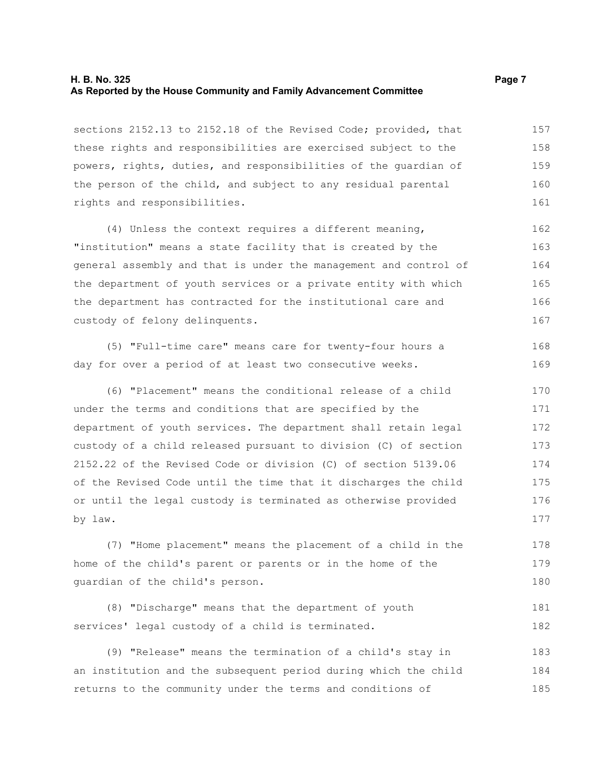### **H. B. No. 325 Page 7 As Reported by the House Community and Family Advancement Committee**

sections 2152.13 to 2152.18 of the Revised Code; provided, that these rights and responsibilities are exercised subject to the powers, rights, duties, and responsibilities of the guardian of the person of the child, and subject to any residual parental rights and responsibilities. 157 158 159 160 161

(4) Unless the context requires a different meaning, "institution" means a state facility that is created by the general assembly and that is under the management and control of the department of youth services or a private entity with which the department has contracted for the institutional care and custody of felony delinquents. 162 163 164 165 166 167

(5) "Full-time care" means care for twenty-four hours a day for over a period of at least two consecutive weeks. 168 169

(6) "Placement" means the conditional release of a child under the terms and conditions that are specified by the department of youth services. The department shall retain legal custody of a child released pursuant to division (C) of section 2152.22 of the Revised Code or division (C) of section 5139.06 of the Revised Code until the time that it discharges the child or until the legal custody is terminated as otherwise provided by law. 170 171 172 173 174 175 176 177

(7) "Home placement" means the placement of a child in the home of the child's parent or parents or in the home of the guardian of the child's person. 178 179 180

```
(8) "Discharge" means that the department of youth
services' legal custody of a child is terminated.
                                                                           181
                                                                           182
```
(9) "Release" means the termination of a child's stay in an institution and the subsequent period during which the child returns to the community under the terms and conditions of 183 184 185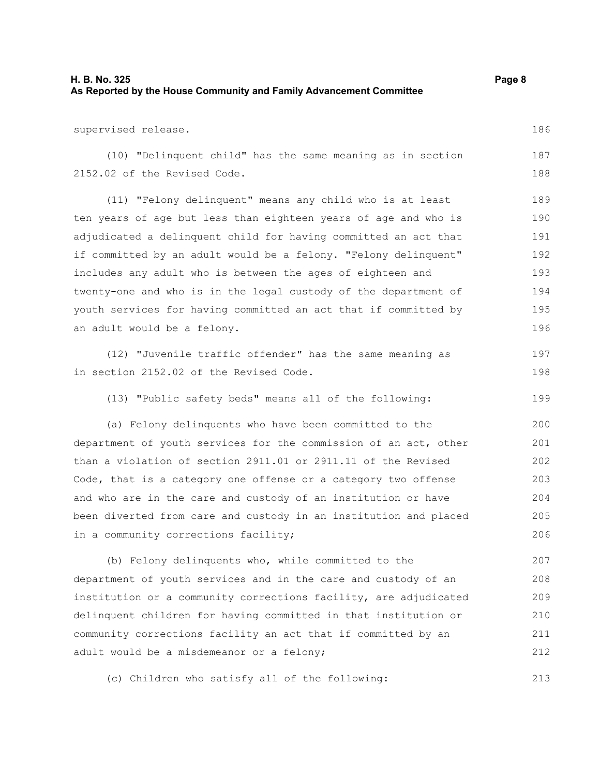213

| supervised release.                                              | 186 |
|------------------------------------------------------------------|-----|
| (10) "Delinquent child" has the same meaning as in section       | 187 |
| 2152.02 of the Revised Code.                                     | 188 |
| (11) "Felony delinquent" means any child who is at least         | 189 |
| ten years of age but less than eighteen years of age and who is  | 190 |
| adjudicated a delinquent child for having committed an act that  | 191 |
| if committed by an adult would be a felony. "Felony delinquent"  | 192 |
| includes any adult who is between the ages of eighteen and       | 193 |
| twenty-one and who is in the legal custody of the department of  | 194 |
| youth services for having committed an act that if committed by  | 195 |
| an adult would be a felony.                                      | 196 |
| (12) "Juvenile traffic offender" has the same meaning as         | 197 |
| in section 2152.02 of the Revised Code.                          | 198 |
| (13) "Public safety beds" means all of the following:            | 199 |
| (a) Felony delinquents who have been committed to the            | 200 |
| department of youth services for the commission of an act, other | 201 |
| than a violation of section 2911.01 or 2911.11 of the Revised    | 202 |
| Code, that is a category one offense or a category two offense   | 203 |
| and who are in the care and custody of an institution or have    | 204 |
| been diverted from care and custody in an institution and placed | 205 |
| in a community corrections facility;                             | 206 |
| (b) Felony delinquents who, while committed to the               | 207 |
| department of youth services and in the care and custody of an   | 208 |
| institution or a community corrections facility, are adjudicated | 209 |
| delinquent children for having committed in that institution or  | 210 |
| community corrections facility an act that if committed by an    | 211 |
| adult would be a misdemeanor or a felony;                        | 212 |
|                                                                  |     |

(c) Children who satisfy all of the following: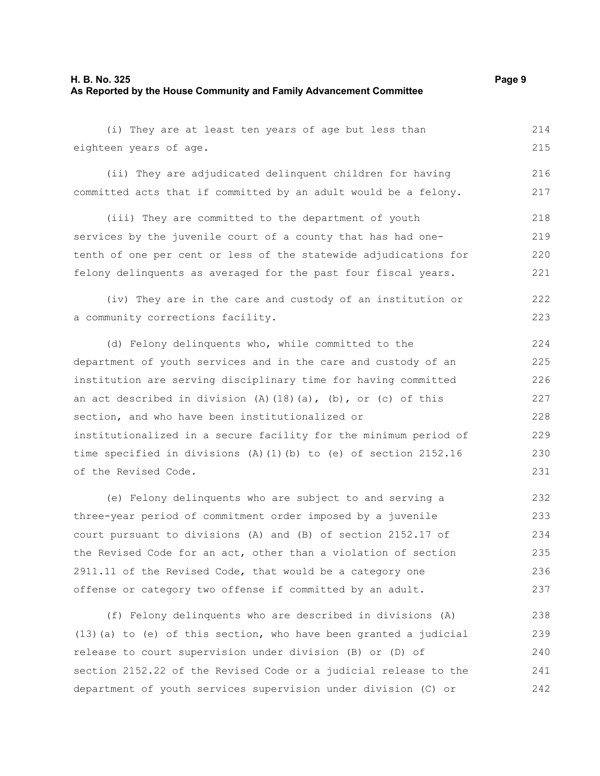### **H. B. No. 325 Page 9 As Reported by the House Community and Family Advancement Committee**

(i) They are at least ten years of age but less than eighteen years of age. 214 215

(ii) They are adjudicated delinquent children for having committed acts that if committed by an adult would be a felony. 216 217

(iii) They are committed to the department of youth services by the juvenile court of a county that has had onetenth of one per cent or less of the statewide adjudications for felony delinquents as averaged for the past four fiscal years. 218 219 220 221

(iv) They are in the care and custody of an institution or a community corrections facility. 222 223

(d) Felony delinquents who, while committed to the department of youth services and in the care and custody of an institution are serving disciplinary time for having committed an act described in division (A)(18)(a), (b), or (c) of this section, and who have been institutionalized or institutionalized in a secure facility for the minimum period of time specified in divisions (A)(1)(b) to (e) of section 2152.16 of the Revised Code. 224 225 226 227 228 229 230 231

(e) Felony delinquents who are subject to and serving a three-year period of commitment order imposed by a juvenile court pursuant to divisions (A) and (B) of section 2152.17 of the Revised Code for an act, other than a violation of section 2911.11 of the Revised Code, that would be a category one offense or category two offense if committed by an adult. 232 233 234 235 236 237

(f) Felony delinquents who are described in divisions (A) (13)(a) to (e) of this section, who have been granted a judicial release to court supervision under division (B) or (D) of section 2152.22 of the Revised Code or a judicial release to the department of youth services supervision under division (C) or 238 239 240 241 242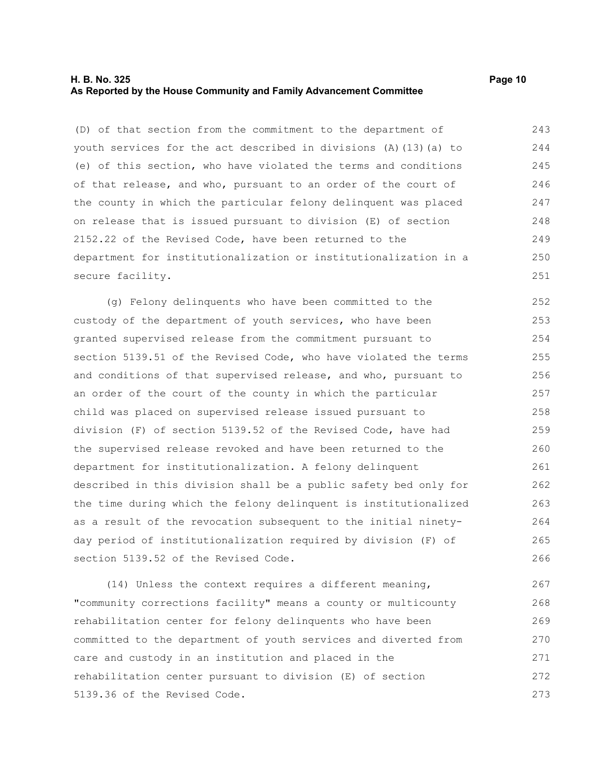### **H. B. No. 325 Page 10 As Reported by the House Community and Family Advancement Committee**

(D) of that section from the commitment to the department of youth services for the act described in divisions (A)(13)(a) to (e) of this section, who have violated the terms and conditions of that release, and who, pursuant to an order of the court of the county in which the particular felony delinquent was placed on release that is issued pursuant to division (E) of section 2152.22 of the Revised Code, have been returned to the department for institutionalization or institutionalization in a secure facility. 243 244 245 246 247 248 249 250 251

(g) Felony delinquents who have been committed to the custody of the department of youth services, who have been granted supervised release from the commitment pursuant to section 5139.51 of the Revised Code, who have violated the terms and conditions of that supervised release, and who, pursuant to an order of the court of the county in which the particular child was placed on supervised release issued pursuant to division (F) of section 5139.52 of the Revised Code, have had the supervised release revoked and have been returned to the department for institutionalization. A felony delinquent described in this division shall be a public safety bed only for the time during which the felony delinquent is institutionalized as a result of the revocation subsequent to the initial ninetyday period of institutionalization required by division (F) of section 5139.52 of the Revised Code. 252 253 254 255 256 257 258 259 260 261 262 263 264 265 266

(14) Unless the context requires a different meaning, "community corrections facility" means a county or multicounty rehabilitation center for felony delinquents who have been committed to the department of youth services and diverted from care and custody in an institution and placed in the rehabilitation center pursuant to division (E) of section 5139.36 of the Revised Code. 267 268 269 270 271 272 273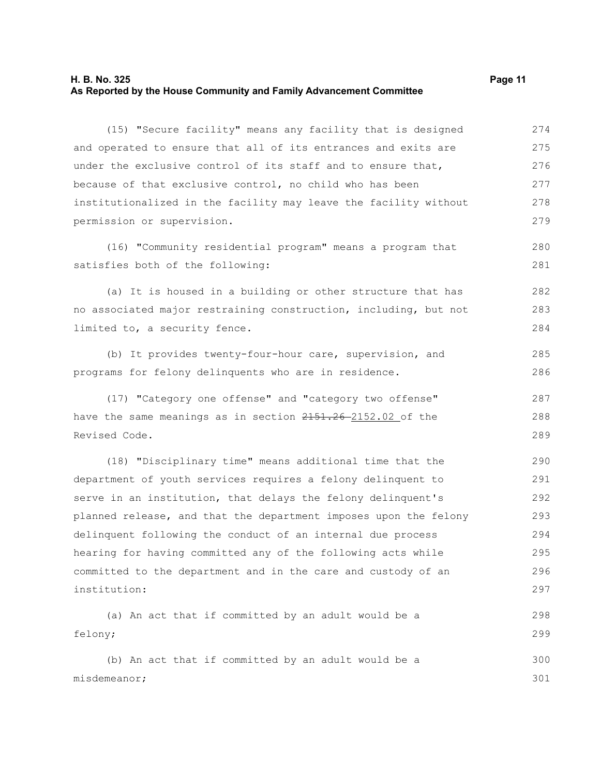### **H. B. No. 325 Page 11 As Reported by the House Community and Family Advancement Committee**

(15) "Secure facility" means any facility that is designed and operated to ensure that all of its entrances and exits are under the exclusive control of its staff and to ensure that, because of that exclusive control, no child who has been institutionalized in the facility may leave the facility without permission or supervision. 274 275 276 277 278 279

(16) "Community residential program" means a program that satisfies both of the following:

(a) It is housed in a building or other structure that has no associated major restraining construction, including, but not limited to, a security fence. 282 283 284

(b) It provides twenty-four-hour care, supervision, and programs for felony delinquents who are in residence. 285 286

(17) "Category one offense" and "category two offense" have the same meanings as in section  $2151.26 - 2152.02$  of the Revised Code. 287 288 289

(18) "Disciplinary time" means additional time that the department of youth services requires a felony delinquent to serve in an institution, that delays the felony delinquent's planned release, and that the department imposes upon the felony delinquent following the conduct of an internal due process hearing for having committed any of the following acts while committed to the department and in the care and custody of an institution: 290 291 292 293 294 295 296 297

```
(a) An act that if committed by an adult would be a
felony;
     (b) An act that if committed by an adult would be a
                                                                            298
                                                                            299
                                                                            300
```
misdemeanor;

280 281

301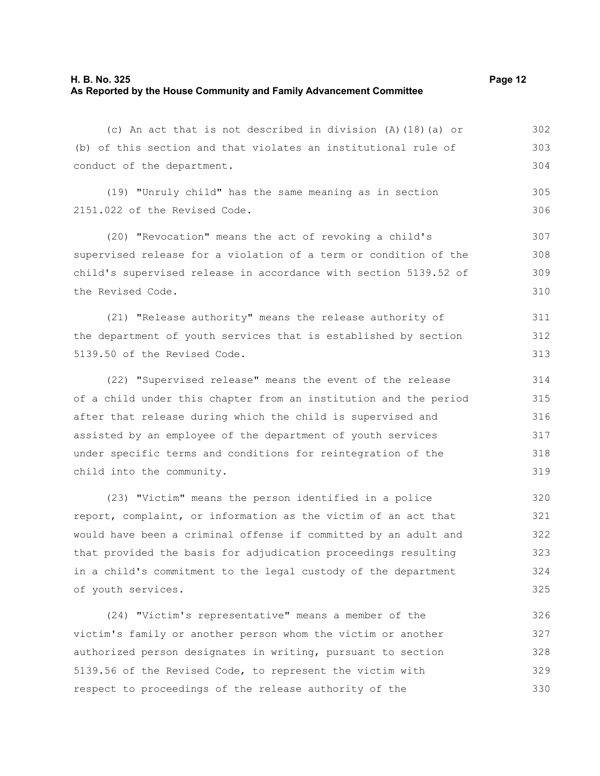(c) An act that is not described in division (A)(18)(a) or (b) of this section and that violates an institutional rule of conduct of the department. (19) "Unruly child" has the same meaning as in section 2151.022 of the Revised Code. (20) "Revocation" means the act of revoking a child's supervised release for a violation of a term or condition of the child's supervised release in accordance with section 5139.52 of the Revised Code. (21) "Release authority" means the release authority of the department of youth services that is established by section 5139.50 of the Revised Code. (22) "Supervised release" means the event of the release of a child under this chapter from an institution and the period after that release during which the child is supervised and assisted by an employee of the department of youth services under specific terms and conditions for reintegration of the child into the community. (23) "Victim" means the person identified in a police report, complaint, or information as the victim of an act that would have been a criminal offense if committed by an adult and that provided the basis for adjudication proceedings resulting 302 303 304 305 306 307 308 309 310 311 312 313 314 315 316 317 318 319 320 321 322 323

in a child's commitment to the legal custody of the department of youth services. 324 325

(24) "Victim's representative" means a member of the victim's family or another person whom the victim or another authorized person designates in writing, pursuant to section 5139.56 of the Revised Code, to represent the victim with respect to proceedings of the release authority of the 326 327 328 329 330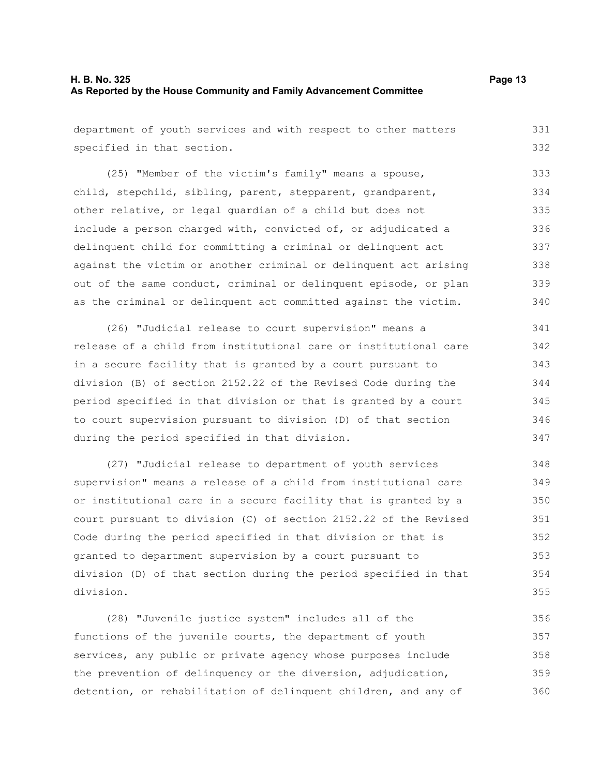department of youth services and with respect to other matters specified in that section. 331 332

(25) "Member of the victim's family" means a spouse, child, stepchild, sibling, parent, stepparent, grandparent, other relative, or legal guardian of a child but does not include a person charged with, convicted of, or adjudicated a delinquent child for committing a criminal or delinquent act against the victim or another criminal or delinquent act arising out of the same conduct, criminal or delinquent episode, or plan as the criminal or delinquent act committed against the victim. 333 334 335 336 337 338 339 340

(26) "Judicial release to court supervision" means a release of a child from institutional care or institutional care in a secure facility that is granted by a court pursuant to division (B) of section 2152.22 of the Revised Code during the period specified in that division or that is granted by a court to court supervision pursuant to division (D) of that section during the period specified in that division. 341 342 343 344 345 346 347

(27) "Judicial release to department of youth services supervision" means a release of a child from institutional care or institutional care in a secure facility that is granted by a court pursuant to division (C) of section 2152.22 of the Revised Code during the period specified in that division or that is granted to department supervision by a court pursuant to division (D) of that section during the period specified in that division. 348 349 350 351 352 353 354 355

(28) "Juvenile justice system" includes all of the functions of the juvenile courts, the department of youth services, any public or private agency whose purposes include the prevention of delinquency or the diversion, adjudication, detention, or rehabilitation of delinquent children, and any of 356 357 358 359 360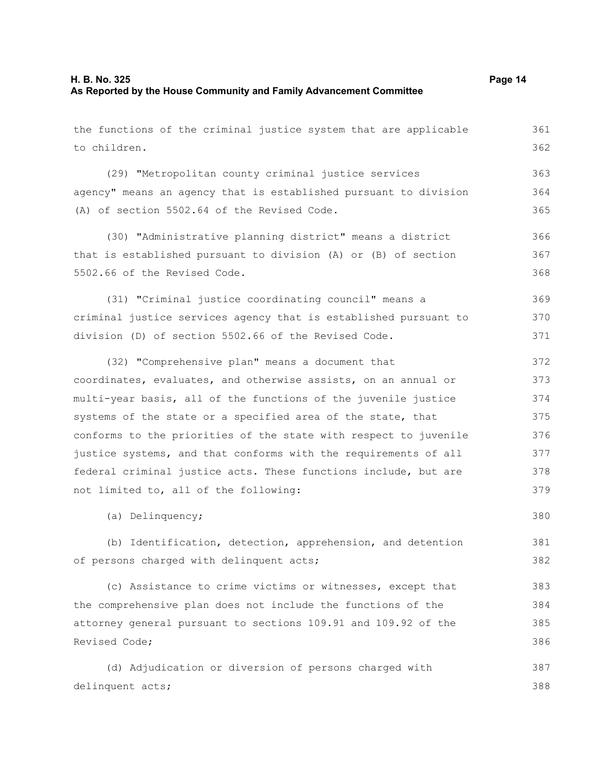| the functions of the criminal justice system that are applicable | 361 |
|------------------------------------------------------------------|-----|
| to children.                                                     | 362 |
| (29) "Metropolitan county criminal justice services              | 363 |
| agency" means an agency that is established pursuant to division | 364 |
| (A) of section 5502.64 of the Revised Code.                      | 365 |
| (30) "Administrative planning district" means a district         | 366 |
| that is established pursuant to division (A) or (B) of section   | 367 |
| 5502.66 of the Revised Code.                                     |     |
| (31) "Criminal justice coordinating council" means a             | 369 |
| criminal justice services agency that is established pursuant to | 370 |
| division (D) of section 5502.66 of the Revised Code.             | 371 |
| (32) "Comprehensive plan" means a document that                  | 372 |
| coordinates, evaluates, and otherwise assists, on an annual or   | 373 |
| multi-year basis, all of the functions of the juvenile justice   | 374 |
| systems of the state or a specified area of the state, that      | 375 |
| conforms to the priorities of the state with respect to juvenile | 376 |
| justice systems, and that conforms with the requirements of all  | 377 |
| federal criminal justice acts. These functions include, but are  | 378 |
| not limited to, all of the following:                            | 379 |
| (a) Delinquency;                                                 | 380 |
| (b) Identification, detection, apprehension, and detention       | 381 |
| of persons charged with delinquent acts;                         | 382 |
| (c) Assistance to crime victims or witnesses, except that        | 383 |
| the comprehensive plan does not include the functions of the     | 384 |
| attorney general pursuant to sections 109.91 and 109.92 of the   | 385 |
| Revised Code;                                                    | 386 |
| (d) Adjudication or diversion of persons charged with            | 387 |
| delinquent acts;                                                 | 388 |
|                                                                  |     |